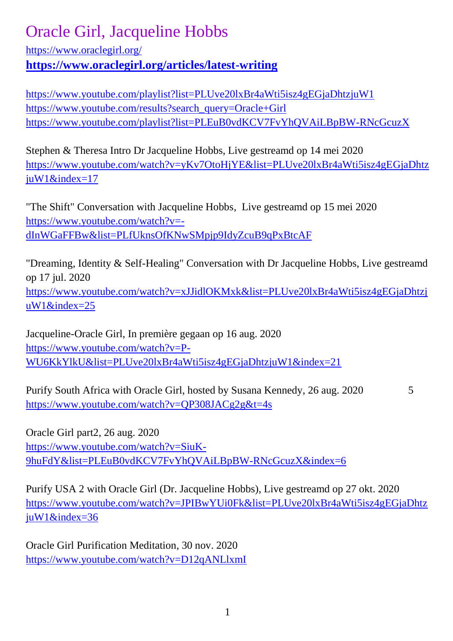## Oracle Girl, Jacqueline Hobbs

<https://www.oraclegirl.org/>

**<https://www.oraclegirl.org/articles/latest-writing>**

<https://www.youtube.com/playlist?list=PLUve20lxBr4aWti5isz4gEGjaDhtzjuW1> [https://www.youtube.com/results?search\\_query=Oracle+Girl](https://www.youtube.com/results?search_query=Oracle+Girl) <https://www.youtube.com/playlist?list=PLEuB0vdKCV7FvYhQVAiLBpBW-RNcGcuzX>

Stephen & Theresa Intro Dr Jacqueline Hobbs, Live gestreamd op 14 mei 2020 [https://www.youtube.com/watch?v=yKv7OtoHjYE&list=PLUve20lxBr4aWti5isz4gEGjaDhtz](https://www.youtube.com/watch?v=yKv7OtoHjYE&list=PLUve20lxBr4aWti5isz4gEGjaDhtzjuW1&index=17) [juW1&index=17](https://www.youtube.com/watch?v=yKv7OtoHjYE&list=PLUve20lxBr4aWti5isz4gEGjaDhtzjuW1&index=17)

"The Shift" Conversation with Jacqueline Hobbs, Live gestreamd op 15 mei 2020 [https://www.youtube.com/watch?v=](https://www.youtube.com/watch?v=-dInWGaFFBw&list=PLfUknsOfKNwSMpjp9IdyZcuB9qPxBtcAF) [dInWGaFFBw&list=PLfUknsOfKNwSMpjp9IdyZcuB9qPxBtcAF](https://www.youtube.com/watch?v=-dInWGaFFBw&list=PLfUknsOfKNwSMpjp9IdyZcuB9qPxBtcAF)

"Dreaming, Identity & Self-Healing" Conversation with Dr Jacqueline Hobbs, Live gestreamd op 17 jul. 2020

[https://www.youtube.com/watch?v=xJJidlOKMxk&list=PLUve20lxBr4aWti5isz4gEGjaDhtzj](https://www.youtube.com/watch?v=xJJidlOKMxk&list=PLUve20lxBr4aWti5isz4gEGjaDhtzjuW1&index=25) [uW1&index=25](https://www.youtube.com/watch?v=xJJidlOKMxk&list=PLUve20lxBr4aWti5isz4gEGjaDhtzjuW1&index=25)

Jacqueline-Oracle Girl, In première gegaan op 16 aug. 2020 [https://www.youtube.com/watch?v=P-](https://www.youtube.com/watch?v=P-WU6KkYlkU&list=PLUve20lxBr4aWti5isz4gEGjaDhtzjuW1&index=21)[WU6KkYlkU&list=PLUve20lxBr4aWti5isz4gEGjaDhtzjuW1&index=21](https://www.youtube.com/watch?v=P-WU6KkYlkU&list=PLUve20lxBr4aWti5isz4gEGjaDhtzjuW1&index=21)

Purify South Africa with Oracle Girl, hosted by Susana Kennedy, 26 aug. 2020 5 <https://www.youtube.com/watch?v=QP308JACg2g&t=4s>

Oracle Girl part2, 26 aug. 2020 [https://www.youtube.com/watch?v=SiuK-](https://www.youtube.com/watch?v=SiuK-9huFdY&list=PLEuB0vdKCV7FvYhQVAiLBpBW-RNcGcuzX&index=6)[9huFdY&list=PLEuB0vdKCV7FvYhQVAiLBpBW-RNcGcuzX&index=6](https://www.youtube.com/watch?v=SiuK-9huFdY&list=PLEuB0vdKCV7FvYhQVAiLBpBW-RNcGcuzX&index=6)

Purify USA 2 with Oracle Girl (Dr. Jacqueline Hobbs), Live gestreamd op 27 okt. 2020 [https://www.youtube.com/watch?v=JPIBwYUi0Fk&list=PLUve20lxBr4aWti5isz4gEGjaDhtz](https://www.youtube.com/watch?v=JPIBwYUi0Fk&list=PLUve20lxBr4aWti5isz4gEGjaDhtzjuW1&index=36) [juW1&index=36](https://www.youtube.com/watch?v=JPIBwYUi0Fk&list=PLUve20lxBr4aWti5isz4gEGjaDhtzjuW1&index=36)

Oracle Girl Purification Meditation, 30 nov. 2020 <https://www.youtube.com/watch?v=D12qANLlxmI>